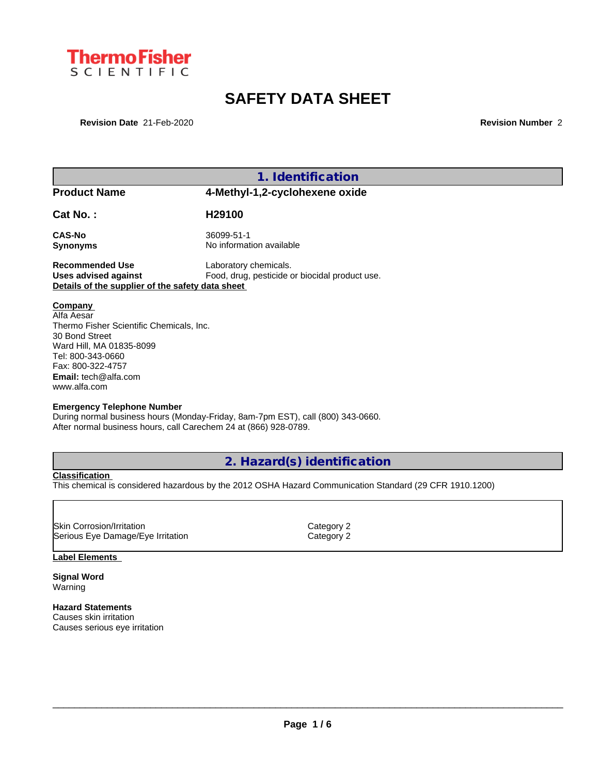

# **SAFETY DATA SHEET**

**Revision Date** 21-Feb-2020 **Revision Number** 2

| 1. Identification                                                                                                                                                                                        |                                        |  |  |
|----------------------------------------------------------------------------------------------------------------------------------------------------------------------------------------------------------|----------------------------------------|--|--|
| <b>Product Name</b>                                                                                                                                                                                      | 4-Methyl-1,2-cyclohexene oxide         |  |  |
| Cat No.:                                                                                                                                                                                                 | H <sub>29100</sub>                     |  |  |
| CAS-No<br><b>Synonyms</b>                                                                                                                                                                                | 36099-51-1<br>No information available |  |  |
| Laboratory chemicals.<br><b>Recommended Use</b><br>Food, drug, pesticide or biocidal product use.<br><b>Uses advised against</b><br>Details of the supplier of the safety data sheet                     |                                        |  |  |
| Company<br>Alfa Aesar<br>Thermo Fisher Scientific Chemicals, Inc.<br>30 Bond Street<br>Ward Hill, MA 01835-8099<br>Tel: 800-343-0660<br>Fax: 800-322-4757<br><b>Email:</b> tech@alfa.com<br>www.alfa.com |                                        |  |  |
| <b>Emergency Telephone Number</b><br>During normal business hours (Monday-Friday, 8am-7pm EST), call (800) 343-0660.<br>After normal business hours, call Carechem 24 at (866) 928-0789.                 |                                        |  |  |

### **2. Hazard(s) identification**

**Classification** This chemical is considered hazardous by the 2012 OSHA Hazard Communication Standard (29 CFR 1910.1200)

| Category 2 |  |
|------------|--|
| Category 2 |  |
|            |  |

### **Label Elements**

**Signal Word** Warning

Г

**Hazard Statements** Causes skin irritation Causes serious eye irritation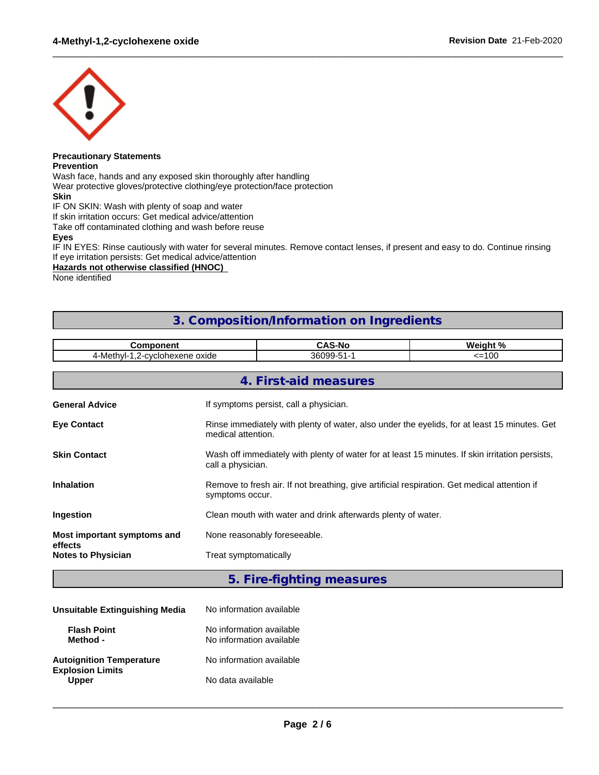

#### **Precautionary Statements Prevention**

Wash face, hands and any exposed skin thoroughly after handling

Wear protective gloves/protective clothing/eye protection/face protection

**Skin**

IF ON SKIN: Wash with plenty of soap and water

If skin irritation occurs: Get medical advice/attention

Take off contaminated clothing and wash before reuse

**Eyes**

IF IN EYES: Rinse cautiously with water for several minutes. Remove contact lenses, if present and easy to do. Continue rinsing If eye irritation persists: Get medical advice/attention

 $\_$  ,  $\_$  ,  $\_$  ,  $\_$  ,  $\_$  ,  $\_$  ,  $\_$  ,  $\_$  ,  $\_$  ,  $\_$  ,  $\_$  ,  $\_$  ,  $\_$  ,  $\_$  ,  $\_$  ,  $\_$  ,  $\_$  ,  $\_$  ,  $\_$  ,  $\_$  ,  $\_$  ,  $\_$  ,  $\_$  ,  $\_$  ,  $\_$  ,  $\_$  ,  $\_$  ,  $\_$  ,  $\_$  ,  $\_$  ,  $\_$  ,  $\_$  ,  $\_$  ,  $\_$  ,  $\_$  ,  $\_$  ,  $\_$  ,

### **Hazards not otherwise classified (HNOC)**

None identified

### **3. Composition/Information on Ingredients**

| 4-Methyl-1,2-cyclohexene oxide<br>36099-51-1<br>$=100$<br>4. First-aid measures |                                                                                                 |  |  |
|---------------------------------------------------------------------------------|-------------------------------------------------------------------------------------------------|--|--|
|                                                                                 |                                                                                                 |  |  |
|                                                                                 |                                                                                                 |  |  |
|                                                                                 |                                                                                                 |  |  |
| <b>General Advice</b><br>If symptoms persist, call a physician.                 |                                                                                                 |  |  |
| <b>Eye Contact</b><br>medical attention.                                        | Rinse immediately with plenty of water, also under the eyelids, for at least 15 minutes. Get    |  |  |
| <b>Skin Contact</b><br>call a physician.                                        | Wash off immediately with plenty of water for at least 15 minutes. If skin irritation persists, |  |  |
| <b>Inhalation</b><br>symptoms occur.                                            | Remove to fresh air. If not breathing, give artificial respiration. Get medical attention if    |  |  |
| Clean mouth with water and drink afterwards plenty of water.<br>Ingestion       |                                                                                                 |  |  |
| None reasonably foreseeable.<br>Most important symptoms and<br>effects          |                                                                                                 |  |  |
| Treat symptomatically<br><b>Notes to Physician</b>                              |                                                                                                 |  |  |

### **5. Fire-fighting measures**

| Unsuitable Extinguishing Media                             | No information available                             |
|------------------------------------------------------------|------------------------------------------------------|
| <b>Flash Point</b><br>Method -                             | No information available<br>No information available |
| <b>Autoignition Temperature</b><br><b>Explosion Limits</b> | No information available                             |
| <b>Upper</b>                                               | No data available                                    |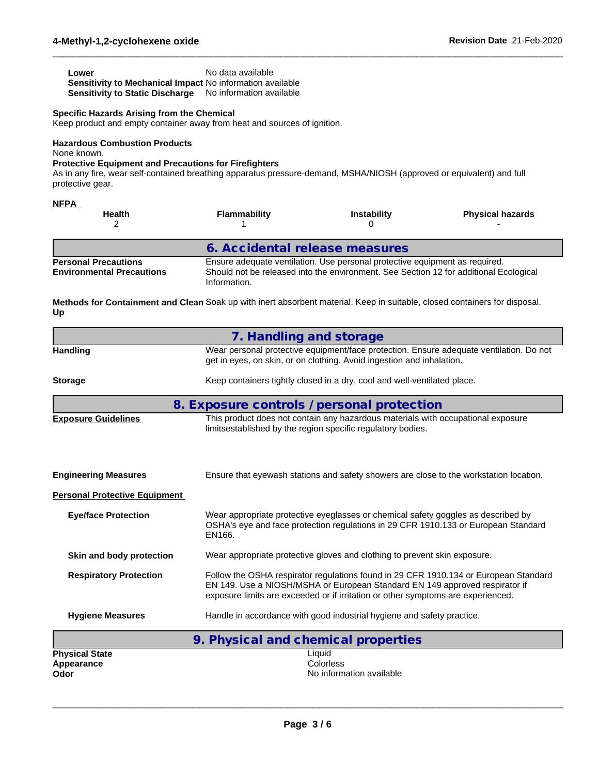| Lower                                                            | No data available |
|------------------------------------------------------------------|-------------------|
| <b>Sensitivity to Mechanical Impact No information available</b> |                   |
| <b>Sensitivity to Static Discharge</b> No information available  |                   |

### **Specific Hazards Arising from the Chemical**

Keep product and empty container away from heat and sources of ignition.

**Hazardous Combustion Products** None known.

### **Protective Equipment and Precautions for Firefighters**

As in any fire, wear self-contained breathing apparatus pressure-demand, MSHA/NIOSH (approved or equivalent) and full protective gear.

| <b>NFPA</b><br><b>Health</b>                                    | Flammability                                                                                                                                                                         | <b>Instability</b> | <b>Physical hazards</b> |
|-----------------------------------------------------------------|--------------------------------------------------------------------------------------------------------------------------------------------------------------------------------------|--------------------|-------------------------|
|                                                                 | 6. Accidental release measures                                                                                                                                                       |                    |                         |
| <b>Personal Precautions</b><br><b>Environmental Precautions</b> | Ensure adequate ventilation. Use personal protective equipment as required.<br>Should not be released into the environment. See Section 12 for additional Ecological<br>Information. |                    |                         |

 $\_$  ,  $\_$  ,  $\_$  ,  $\_$  ,  $\_$  ,  $\_$  ,  $\_$  ,  $\_$  ,  $\_$  ,  $\_$  ,  $\_$  ,  $\_$  ,  $\_$  ,  $\_$  ,  $\_$  ,  $\_$  ,  $\_$  ,  $\_$  ,  $\_$  ,  $\_$  ,  $\_$  ,  $\_$  ,  $\_$  ,  $\_$  ,  $\_$  ,  $\_$  ,  $\_$  ,  $\_$  ,  $\_$  ,  $\_$  ,  $\_$  ,  $\_$  ,  $\_$  ,  $\_$  ,  $\_$  ,  $\_$  ,  $\_$  ,

**Methods for Containment and Clean** Soak up with inert absorbent material. Keep in suitable, closed containers for disposal. **Up**

|                                             | 7. Handling and storage                                                                                                                                                                                                                                 |
|---------------------------------------------|---------------------------------------------------------------------------------------------------------------------------------------------------------------------------------------------------------------------------------------------------------|
| <b>Handling</b>                             | Wear personal protective equipment/face protection. Ensure adequate ventilation. Do not<br>get in eyes, on skin, or on clothing. Avoid ingestion and inhalation.                                                                                        |
| <b>Storage</b>                              | Keep containers tightly closed in a dry, cool and well-ventilated place.                                                                                                                                                                                |
|                                             | 8. Exposure controls / personal protection                                                                                                                                                                                                              |
| <b>Exposure Guidelines</b>                  | This product does not contain any hazardous materials with occupational exposure<br>limitsestablished by the region specific regulatory bodies.                                                                                                         |
| <b>Engineering Measures</b>                 | Ensure that eyewash stations and safety showers are close to the workstation location.                                                                                                                                                                  |
| <b>Personal Protective Equipment</b>        |                                                                                                                                                                                                                                                         |
| <b>Eye/face Protection</b>                  | Wear appropriate protective eyeglasses or chemical safety goggles as described by<br>OSHA's eye and face protection regulations in 29 CFR 1910.133 or European Standard<br>EN166.                                                                       |
| Skin and body protection                    | Wear appropriate protective gloves and clothing to prevent skin exposure.                                                                                                                                                                               |
| <b>Respiratory Protection</b>               | Follow the OSHA respirator regulations found in 29 CFR 1910.134 or European Standard<br>EN 149. Use a NIOSH/MSHA or European Standard EN 149 approved respirator if<br>exposure limits are exceeded or if irritation or other symptoms are experienced. |
| <b>Hygiene Measures</b>                     | Handle in accordance with good industrial hygiene and safety practice.                                                                                                                                                                                  |
|                                             | 9. Physical and chemical properties                                                                                                                                                                                                                     |
| <b>Physical State</b><br>Appearance<br>Odor | Liquid<br>Colorless<br>No information available                                                                                                                                                                                                         |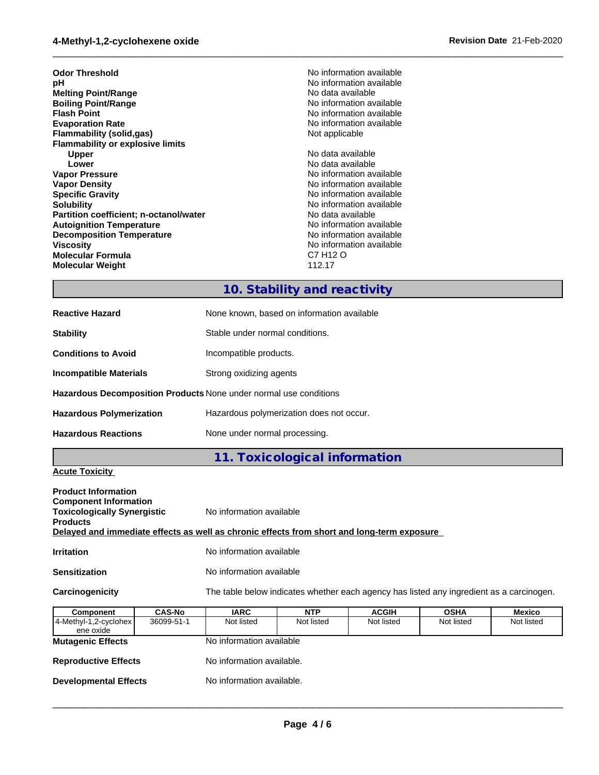### **4-Methyl-1,2-cyclohexene oxide Revision Date** 21-Feb-2020

| <b>Odor Threshold</b>                   | No information available |
|-----------------------------------------|--------------------------|
| рH                                      | No information available |
| <b>Melting Point/Range</b>              | No data available        |
| <b>Boiling Point/Range</b>              | No information available |
| <b>Flash Point</b>                      | No information available |
| <b>Evaporation Rate</b>                 | No information available |
| <b>Flammability (solid,gas)</b>         | Not applicable           |
| <b>Flammability or explosive limits</b> |                          |
| Upper                                   | No data available        |
| Lower                                   | No data available        |
| <b>Vapor Pressure</b>                   | No information available |
| <b>Vapor Density</b>                    | No information available |
| <b>Specific Gravity</b>                 | No information available |
| <b>Solubility</b>                       | No information available |
| Partition coefficient; n-octanol/water  | No data available        |
| <b>Autoignition Temperature</b>         | No information available |
| <b>Decomposition Temperature</b>        | No information available |
| <b>Viscosity</b>                        | No information available |
| <b>Molecular Formula</b>                | C7 H12 O                 |
| <b>Molecular Weight</b>                 | 112.17                   |
|                                         |                          |

# **10. Stability and reactivity**

 $\_$  ,  $\_$  ,  $\_$  ,  $\_$  ,  $\_$  ,  $\_$  ,  $\_$  ,  $\_$  ,  $\_$  ,  $\_$  ,  $\_$  ,  $\_$  ,  $\_$  ,  $\_$  ,  $\_$  ,  $\_$  ,  $\_$  ,  $\_$  ,  $\_$  ,  $\_$  ,  $\_$  ,  $\_$  ,  $\_$  ,  $\_$  ,  $\_$  ,  $\_$  ,  $\_$  ,  $\_$  ,  $\_$  ,  $\_$  ,  $\_$  ,  $\_$  ,  $\_$  ,  $\_$  ,  $\_$  ,  $\_$  ,  $\_$  ,

| <b>Reactive Hazard</b>                                            | None known, based on information available |  |
|-------------------------------------------------------------------|--------------------------------------------|--|
| <b>Stability</b>                                                  | Stable under normal conditions.            |  |
| <b>Conditions to Avoid</b>                                        | Incompatible products.                     |  |
| Incompatible Materials                                            | Strong oxidizing agents                    |  |
| Hazardous Decomposition Products None under normal use conditions |                                            |  |
| <b>Hazardous Polymerization</b>                                   | Hazardous polymerization does not occur.   |  |
| <b>Hazardous Reactions</b>                                        | None under normal processing.              |  |

## **11. Toxicological information**

### **Acute Toxicity**

| <b>Product Information</b><br><b>Component Information</b><br><b>Toxicologically Synergistic</b><br><b>Products</b> | No information available                                                                   |
|---------------------------------------------------------------------------------------------------------------------|--------------------------------------------------------------------------------------------|
|                                                                                                                     | Delayed and immediate effects as well as chronic effects from short and long-term exposure |
| <b>Irritation</b>                                                                                                   | No information available                                                                   |
| <b>Sensitization</b>                                                                                                | No information available                                                                   |
| Carcinogenicity                                                                                                     | The table below indicates whether each agency has listed any ingredient as a carcinogen.   |

| Component                           | <b>CAS-No</b> | <b>IARC</b>               | <b>NTP</b> | <b>ACGIH</b> | <b>OSHA</b> | Mexico     |
|-------------------------------------|---------------|---------------------------|------------|--------------|-------------|------------|
| 4-Methyl-1,2-cyclohex <br>ene oxide | 36099-51-1    | Not listed                | Not listed | Not listed   | Not listed  | Not listed |
| <b>Mutagenic Effects</b>            |               | No information available  |            |              |             |            |
| <b>Reproductive Effects</b>         |               | No information available. |            |              |             |            |
| <b>Developmental Effects</b>        |               | No information available. |            |              |             |            |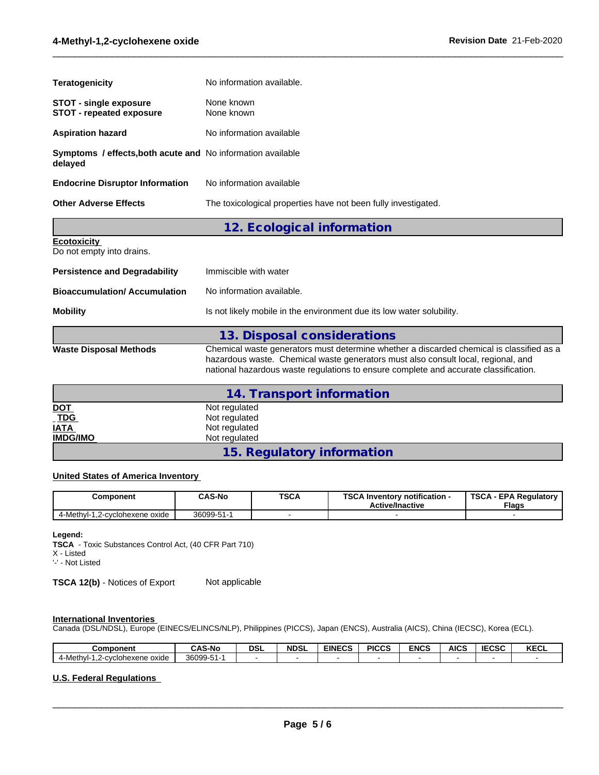| <b>Other Adverse Effects</b>                                                  | The toxicological properties have not been fully investigated. |
|-------------------------------------------------------------------------------|----------------------------------------------------------------|
| <b>Endocrine Disruptor Information</b>                                        | No information available                                       |
| <b>Symptoms / effects, both acute and No information available</b><br>delaved |                                                                |
| <b>Aspiration hazard</b>                                                      | No information available                                       |
| <b>STOT - single exposure</b><br><b>STOT - repeated exposure</b>              | None known<br>None known                                       |
| Teratogenicity                                                                | No information available.                                      |
|                                                                               |                                                                |

 $\_$  ,  $\_$  ,  $\_$  ,  $\_$  ,  $\_$  ,  $\_$  ,  $\_$  ,  $\_$  ,  $\_$  ,  $\_$  ,  $\_$  ,  $\_$  ,  $\_$  ,  $\_$  ,  $\_$  ,  $\_$  ,  $\_$  ,  $\_$  ,  $\_$  ,  $\_$  ,  $\_$  ,  $\_$  ,  $\_$  ,  $\_$  ,  $\_$  ,  $\_$  ,  $\_$  ,  $\_$  ,  $\_$  ,  $\_$  ,  $\_$  ,  $\_$  ,  $\_$  ,  $\_$  ,  $\_$  ,  $\_$  ,  $\_$  ,

**12. Ecological information**

| <b>Ecotoxicity</b> |  |  |  |
|--------------------|--|--|--|
|                    |  |  |  |

Do not empty into drains.

| <b>Persistence and Degradability</b> | Immiscible with water                                                                                                                                                                                                                                                 |
|--------------------------------------|-----------------------------------------------------------------------------------------------------------------------------------------------------------------------------------------------------------------------------------------------------------------------|
| <b>Bioaccumulation/Accumulation</b>  | No information available.                                                                                                                                                                                                                                             |
| <b>Mobility</b>                      | Is not likely mobile in the environment due its low water solubility.                                                                                                                                                                                                 |
|                                      | 13. Disposal considerations                                                                                                                                                                                                                                           |
| <b>Waste Disposal Methods</b>        | Chemical waste generators must determine whether a discarded chemical is classified as a<br>hazardous waste. Chemical waste generators must also consult local, regional, and<br>national hazardous waste regulations to ensure complete and accurate classification. |

|                   | 14. Transport information  |
|-------------------|----------------------------|
|                   | Not regulated              |
| <u>DOT</u><br>TDG | Not regulated              |
| <b>IATA</b>       | Not regulated              |
| <b>IMDG/IMO</b>   | Not regulated              |
|                   | 15. Regulatory information |

### **United States of America Inventory**

| Component                          | <b>CAS-No</b> | <b>TSCA</b> | TOO A I<br>Inventory notification -<br>ີ<br><b>Active/Inactive</b> | TSCA<br>A - EPA Regulatory '<br><b>Flags</b> |
|------------------------------------|---------------|-------------|--------------------------------------------------------------------|----------------------------------------------|
| 4-Methyl-<br>1,2-cyclohexene oxide | 36099-51-1    |             |                                                                    |                                              |

### **Legend:**

**TSCA** - Toxic Substances Control Act, (40 CFR Part 710)

X - Listed '-' - Not Listed

**TSCA 12(b)** - Notices of Export Not applicable

### **International Inventories**

Canada (DSL/NDSL), Europe (EINECS/ELINCS/NLP), Philippines (PICCS), Japan (ENCS), Australia (AICS), China (IECSC), Korea (ECL).

| Component                                                | ີ AS-No          | <b>DSL</b> | <b>NDSL</b> | <b>EINECS</b> | <b>PICCS</b> | <b>ENCS</b> | <b>AICS</b> | <b>IECSC</b> | レヒヘリ<br>ncul |
|----------------------------------------------------------|------------------|------------|-------------|---------------|--------------|-------------|-------------|--------------|--------------|
| Methyl-<br>-cvclohexene oxide<br>╯-1<br>$\mathbf{u}$<br> | 36099-51-<br>ັບ. |            |             |               |              |             |             |              |              |

### **U.S. Federal Regulations**